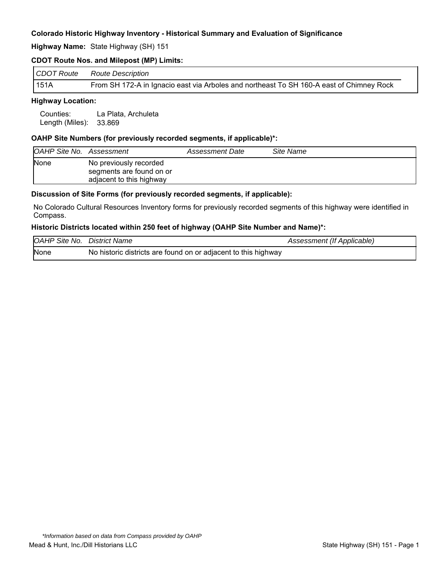**Highway Name:** State Highway (SH) 151

### **CDOT Route Nos. and Milepost (MP) Limits:**

|             | CDOT Route Route Description                                                             |
|-------------|------------------------------------------------------------------------------------------|
| <b>151A</b> | From SH 172-A in Ignacio east via Arboles and northeast To SH 160-A east of Chimney Rock |

### **Highway Location:**

Counties: La Plata, Archuleta Length (Miles): 33.869

### **OAHP Site Numbers (for previously recorded segments, if applicable)\*:**

| <b>OAHP Site No. Assessment</b> |                                                                                | Assessment Date | Site Name |
|---------------------------------|--------------------------------------------------------------------------------|-----------------|-----------|
| <b>None</b>                     | No previously recorded<br>segments are found on or<br>adjacent to this highway |                 |           |

#### **Discussion of Site Forms (for previously recorded segments, if applicable):**

No Colorado Cultural Resources Inventory forms for previously recorded segments of this highway were identified in Compass.

#### **Historic Districts located within 250 feet of highway (OAHP Site Number and Name)\*:**

| <b>OAHP Site No. District Name</b> |                                                                | Assessment (If Applicable) |
|------------------------------------|----------------------------------------------------------------|----------------------------|
| None                               | No historic districts are found on or adjacent to this highway |                            |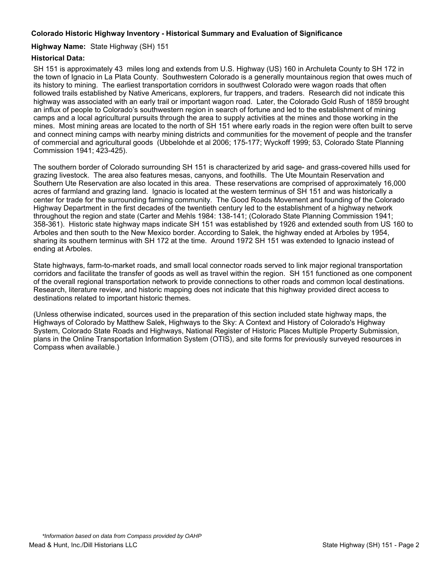### **Highway Name:** State Highway (SH) 151

### **Historical Data:**

SH 151 is approximately 43 miles long and extends from U.S. Highway (US) 160 in Archuleta County to SH 172 in the town of Ignacio in La Plata County. Southwestern Colorado is a generally mountainous region that owes much of its history to mining. The earliest transportation corridors in southwest Colorado were wagon roads that often followed trails established by Native Americans, explorers, fur trappers, and traders. Research did not indicate this highway was associated with an early trail or important wagon road. Later, the Colorado Gold Rush of 1859 brought an influx of people to Colorado's southwestern region in search of fortune and led to the establishment of mining camps and a local agricultural pursuits through the area to supply activities at the mines and those working in the mines. Most mining areas are located to the north of SH 151 where early roads in the region were often built to serve and connect mining camps with nearby mining districts and communities for the movement of people and the transfer of commercial and agricultural goods (Ubbelohde et al 2006; 175-177; Wyckoff 1999; 53, Colorado State Planning Commission 1941; 423-425).

The southern border of Colorado surrounding SH 151 is characterized by arid sage- and grass-covered hills used for grazing livestock. The area also features mesas, canyons, and foothills. The Ute Mountain Reservation and Southern Ute Reservation are also located in this area. These reservations are comprised of approximately 16,000 acres of farmland and grazing land. Ignacio is located at the western terminus of SH 151 and was historically a center for trade for the surrounding farming community. The Good Roads Movement and founding of the Colorado Highway Department in the first decades of the twentieth century led to the establishment of a highway network throughout the region and state (Carter and Mehls 1984: 138-141; (Colorado State Planning Commission 1941; 358-361). Historic state highway maps indicate SH 151 was established by 1926 and extended south from US 160 to Arboles and then south to the New Mexico border. According to Salek, the highway ended at Arboles by 1954, sharing its southern terminus with SH 172 at the time. Around 1972 SH 151 was extended to Ignacio instead of ending at Arboles.

State highways, farm-to-market roads, and small local connector roads served to link major regional transportation corridors and facilitate the transfer of goods as well as travel within the region. SH 151 functioned as one component of the overall regional transportation network to provide connections to other roads and common local destinations. Research, literature review, and historic mapping does not indicate that this highway provided direct access to destinations related to important historic themes.

(Unless otherwise indicated, sources used in the preparation of this section included state highway maps, the Highways of Colorado by Matthew Salek, Highways to the Sky: A Context and History of Colorado's Highway System, Colorado State Roads and Highways, National Register of Historic Places Multiple Property Submission, plans in the Online Transportation Information System (OTIS), and site forms for previously surveyed resources in Compass when available.)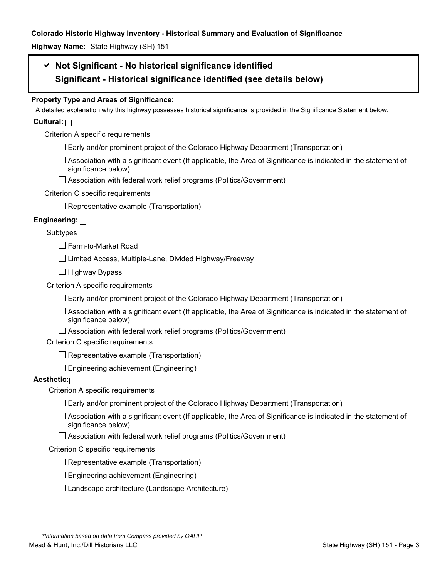**Highway Name:** State Highway (SH) 151

# **Not Significant - No historical significance identified**

**Significant - Historical significance identified (see details below)** 

# **Property Type and Areas of Significance:**

A detailed explanation why this highway possesses historical significance is provided in the Significance Statement below.

# **Cultural:**

Criterion A specific requirements

- $\Box$  Early and/or prominent project of the Colorado Highway Department (Transportation)
- $\Box$  Association with a significant event (If applicable, the Area of Significance is indicated in the statement of significance below)
- □ Association with federal work relief programs (Politics/Government)

# Criterion C specific requirements

 $\Box$  Representative example (Transportation)

# **Engineering:**

### Subtypes

Farm-to-Market Road

 $\Box$  Limited Access, Multiple-Lane, Divided Highway/Freeway

 $\Box$  Highway Bypass

Criterion A specific requirements

 $\Box$  Early and/or prominent project of the Colorado Highway Department (Transportation)

 $\Box$  Association with a significant event (If applicable, the Area of Significance is indicated in the statement of significance below)

 $\Box$  Association with federal work relief programs (Politics/Government)

Criterion C specific requirements

 $\Box$  Representative example (Transportation)

 $\Box$  Engineering achievement (Engineering)

# **Aesthetic:**

Criterion A specific requirements

- $\Box$  Early and/or prominent project of the Colorado Highway Department (Transportation)
- $\Box$  Association with a significant event (If applicable, the Area of Significance is indicated in the statement of significance below)
- $\Box$  Association with federal work relief programs (Politics/Government)

#### Criterion C specific requirements

- $\Box$  Representative example (Transportation)
- $\square$  Engineering achievement (Engineering)
- $\square$  Landscape architecture (Landscape Architecture)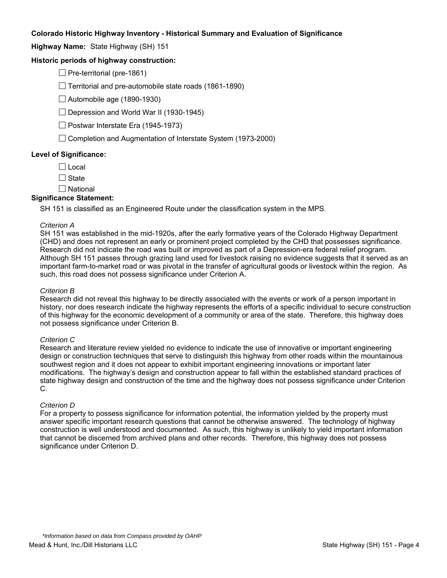**Highway Name:** State Highway (SH) 151

### **Historic periods of highway construction:**

 $\Box$  Pre-territorial (pre-1861)

 $\Box$  Territorial and pre-automobile state roads (1861-1890)

 $\Box$  Automobile age (1890-1930)

 $\Box$  Depression and World War II (1930-1945)

 $\Box$  Postwar Interstate Era (1945-1973)

 $\Box$  Completion and Augmentation of Interstate System (1973-2000)

#### **Level of Significance:**

 $\Box$  Local

 $\Box$  State

 $\square$  National

#### **Significance Statement:**

SH 151 is classified as an Engineered Route under the classification system in the MPS.

#### *Criterion A*

SH 151 was established in the mid-1920s, after the early formative years of the Colorado Highway Department (CHD) and does not represent an early or prominent project completed by the CHD that possesses significance. Research did not indicate the road was built or improved as part of a Depression-era federal relief program. Although SH 151 passes through grazing land used for livestock raising no evidence suggests that it served as an important farm-to-market road or was pivotal in the transfer of agricultural goods or livestock within the region. As such, this road does not possess significance under Criterion A.

#### *Criterion B*

Research did not reveal this highway to be directly associated with the events or work of a person important in history, nor does research indicate the highway represents the efforts of a specific individual to secure construction of this highway for the economic development of a community or area of the state. Therefore, this highway does not possess significance under Criterion B.

#### *Criterion C*

Research and literature review yielded no evidence to indicate the use of innovative or important engineering design or construction techniques that serve to distinguish this highway from other roads within the mountainous southwest region and it does not appear to exhibit important engineering innovations or important later modifications. The highway's design and construction appear to fall within the established standard practices of state highway design and construction of the time and the highway does not possess significance under Criterion C.

#### *Criterion D*

For a property to possess significance for information potential, the information yielded by the property must answer specific important research questions that cannot be otherwise answered. The technology of highway construction is well understood and documented. As such, this highway is unlikely to yield important information that cannot be discerned from archived plans and other records. Therefore, this highway does not possess significance under Criterion D.